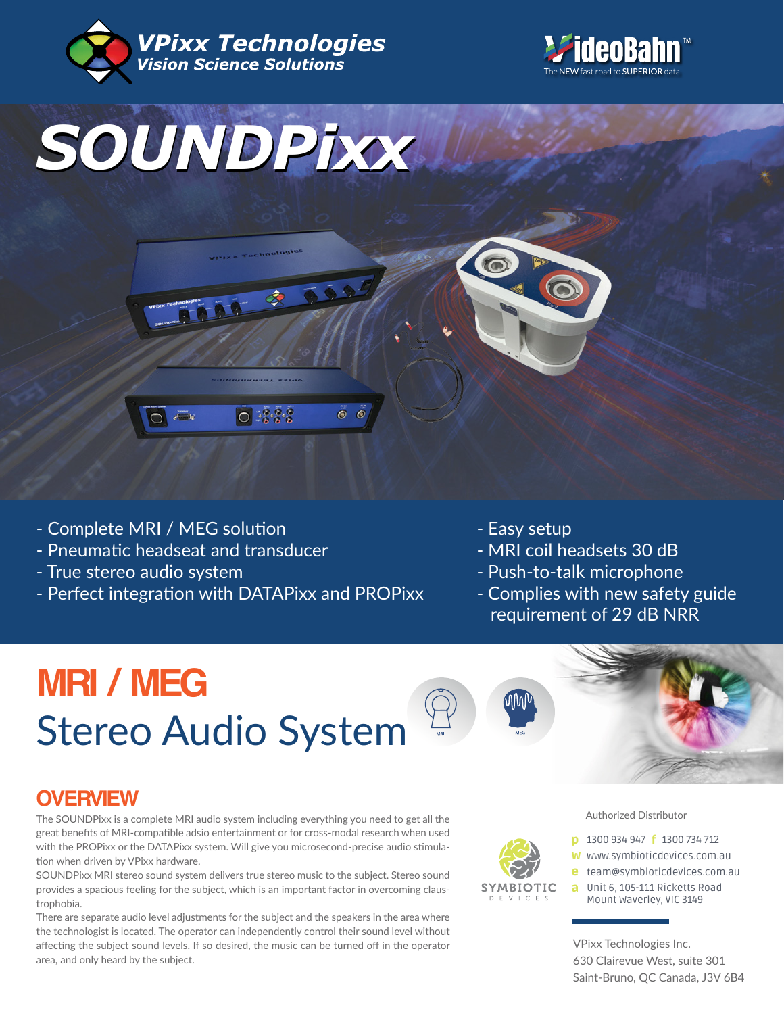





 $\ddot{\bullet}$  $\bullet$ 

- Complete MRI / MEG solution

Ċ

- Pneumatic headseat and transducer
- True stereo audio system
- Perfect integration with DATAPixx and PROPixx

 $\bigcirc$  :  $\{ \cdot \}$ 

- Easy setup
- MRI coil headsets 30 dB
- Push-to-talk microphone
- Complies with new safety guide requirement of 29 dB NRR

# **MRI / MEG** Stereo Audio System





## **OVERVIEW**

The SOUNDPixx is a complete MRI audio system including everything you need to get all the great benefits of MRI-compatible adsio entertainment or for cross-modal research when used with the PROPixx or the DATAPixx system. Will give you microsecond-precise audio stimulation when driven by VPixx hardware.

SOUNDPixx MRI stereo sound system delivers true stereo music to the subject. Stereo sound provides a spacious feeling for the subject, which is an important factor in overcoming claustrophobia.

There are separate audio level adjustments for the subject and the speakers in the area where the technologist is located. The operator can independently control their sound level without affecting the subject sound levels. If so desired, the music can be turned off in the operator area, and only heard by the subject.



#### Authorized Distributor

- **p** 1300 934 947 **f** 1300 734 712
- w www.symbioticdevices.com.au
- [team@symbioticdevices.com.au](https://symbioticdevices.com.au) e
- Unit 6, 105-111 Ricketts Road a Mount Waverley, VIC 3149

VPixx Technologies Inc. 630 Clairevue West, suite 301 Saint-Bruno, QC Canada, J3V 6B4